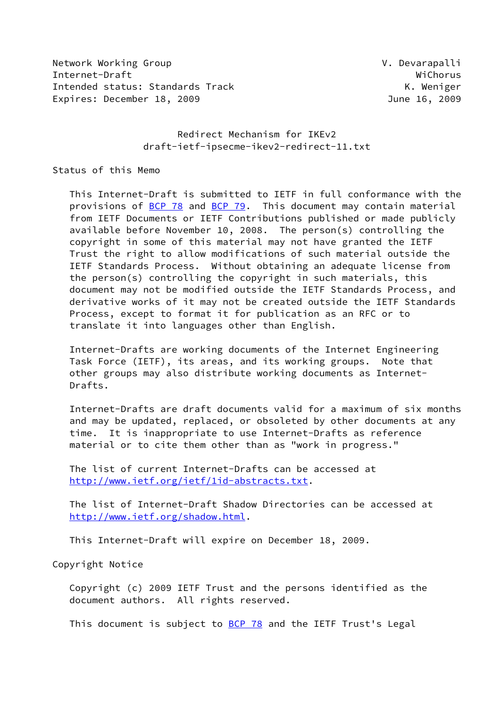Network Working Group **V. Devarapalli** Internet-Draft WiChorus Intended status: Standards Track K. Weniger Expires: December 18, 2009 **IVE 2009** June 16, 2009

 Redirect Mechanism for IKEv2 draft-ietf-ipsecme-ikev2-redirect-11.txt

Status of this Memo

 This Internet-Draft is submitted to IETF in full conformance with the provisions of [BCP 78](https://datatracker.ietf.org/doc/pdf/bcp78) and [BCP 79](https://datatracker.ietf.org/doc/pdf/bcp79). This document may contain material from IETF Documents or IETF Contributions published or made publicly available before November 10, 2008. The person(s) controlling the copyright in some of this material may not have granted the IETF Trust the right to allow modifications of such material outside the IETF Standards Process. Without obtaining an adequate license from the person(s) controlling the copyright in such materials, this document may not be modified outside the IETF Standards Process, and derivative works of it may not be created outside the IETF Standards Process, except to format it for publication as an RFC or to translate it into languages other than English.

 Internet-Drafts are working documents of the Internet Engineering Task Force (IETF), its areas, and its working groups. Note that other groups may also distribute working documents as Internet- Drafts.

 Internet-Drafts are draft documents valid for a maximum of six months and may be updated, replaced, or obsoleted by other documents at any time. It is inappropriate to use Internet-Drafts as reference material or to cite them other than as "work in progress."

 The list of current Internet-Drafts can be accessed at <http://www.ietf.org/ietf/1id-abstracts.txt>.

 The list of Internet-Draft Shadow Directories can be accessed at <http://www.ietf.org/shadow.html>.

This Internet-Draft will expire on December 18, 2009.

Copyright Notice

 Copyright (c) 2009 IETF Trust and the persons identified as the document authors. All rights reserved.

This document is subject to **[BCP 78](https://datatracker.ietf.org/doc/pdf/bcp78)** and the IETF Trust's Legal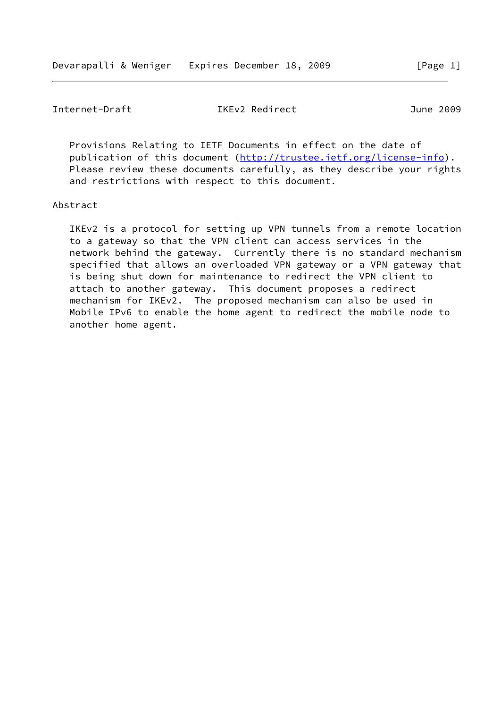Internet-Draft IKEv2 Redirect June 2009

 Provisions Relating to IETF Documents in effect on the date of publication of this document [\(http://trustee.ietf.org/license-info](http://trustee.ietf.org/license-info)). Please review these documents carefully, as they describe your rights and restrictions with respect to this document.

#### Abstract

 IKEv2 is a protocol for setting up VPN tunnels from a remote location to a gateway so that the VPN client can access services in the network behind the gateway. Currently there is no standard mechanism specified that allows an overloaded VPN gateway or a VPN gateway that is being shut down for maintenance to redirect the VPN client to attach to another gateway. This document proposes a redirect mechanism for IKEv2. The proposed mechanism can also be used in Mobile IPv6 to enable the home agent to redirect the mobile node to another home agent.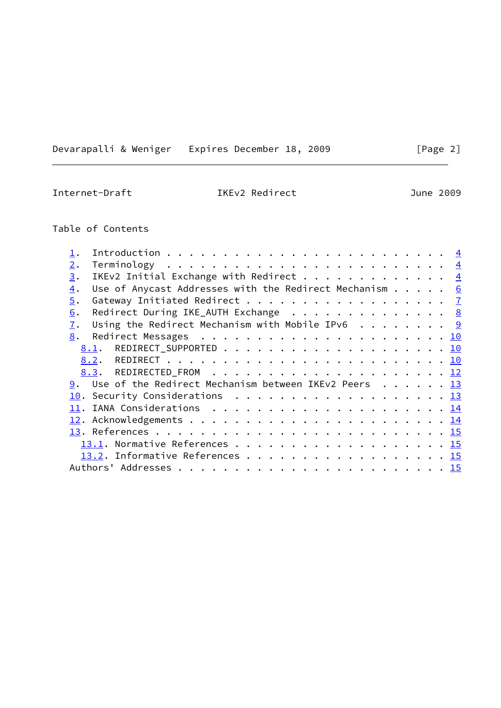Devarapalli & Weniger Expires December 18, 2009 [Page 2]

Internet-Draft IKEv2 Redirect June 2009

# Table of Contents

| 2. |                                                                                       |  |  |  |
|----|---------------------------------------------------------------------------------------|--|--|--|
| 3. | IKEv2 Initial Exchange with Redirect $\frac{4}{5}$                                    |  |  |  |
| 4. | Use of Anycast Addresses with the Redirect Mechanism $\cdots$ $\cdots$ 6              |  |  |  |
| 5. | Gateway Initiated Redirect 7                                                          |  |  |  |
| 6. | Redirect During IKE_AUTH Exchange 8                                                   |  |  |  |
| 7. | Using the Redirect Mechanism with Mobile IPv6 $\cdot \cdot \cdot \cdot \cdot \cdot$ 9 |  |  |  |
| 8. |                                                                                       |  |  |  |
|    |                                                                                       |  |  |  |
|    |                                                                                       |  |  |  |
|    |                                                                                       |  |  |  |
|    | 9. Use of the Redirect Mechanism between IKEv2 Peers 13                               |  |  |  |
|    | 10. Security Considerations 13                                                        |  |  |  |
|    |                                                                                       |  |  |  |
|    |                                                                                       |  |  |  |
|    |                                                                                       |  |  |  |
|    | 13.1. Normative References 15                                                         |  |  |  |
|    | 13.2. Informative References 15                                                       |  |  |  |
|    |                                                                                       |  |  |  |
|    |                                                                                       |  |  |  |

L.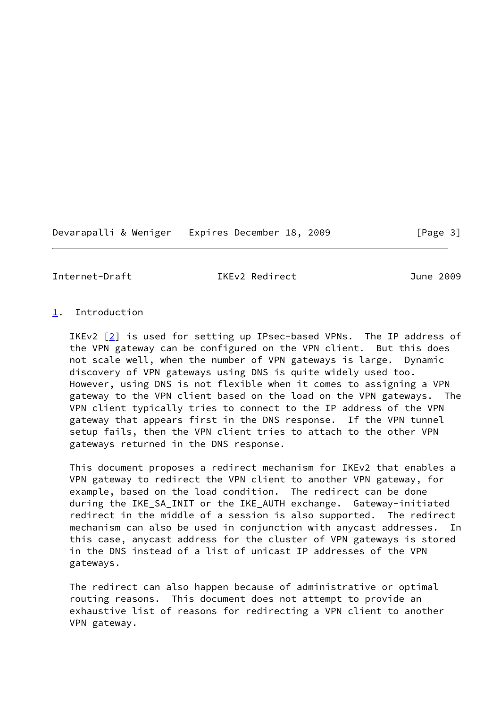Devarapalli & Weniger Expires December 18, 2009 [Page 3]

<span id="page-3-1"></span>Internet-Draft IKEv2 Redirect June 2009

## <span id="page-3-0"></span>[1](#page-3-0). Introduction

IKEv2  $[2]$  $[2]$  is used for setting up IPsec-based VPNs. The IP address of the VPN gateway can be configured on the VPN client. But this does not scale well, when the number of VPN gateways is large. Dynamic discovery of VPN gateways using DNS is quite widely used too. However, using DNS is not flexible when it comes to assigning a VPN gateway to the VPN client based on the load on the VPN gateways. The VPN client typically tries to connect to the IP address of the VPN gateway that appears first in the DNS response. If the VPN tunnel setup fails, then the VPN client tries to attach to the other VPN gateways returned in the DNS response.

 This document proposes a redirect mechanism for IKEv2 that enables a VPN gateway to redirect the VPN client to another VPN gateway, for example, based on the load condition. The redirect can be done during the IKE\_SA\_INIT or the IKE\_AUTH exchange. Gateway-initiated redirect in the middle of a session is also supported. The redirect mechanism can also be used in conjunction with anycast addresses. In this case, anycast address for the cluster of VPN gateways is stored in the DNS instead of a list of unicast IP addresses of the VPN gateways.

 The redirect can also happen because of administrative or optimal routing reasons. This document does not attempt to provide an exhaustive list of reasons for redirecting a VPN client to another VPN gateway.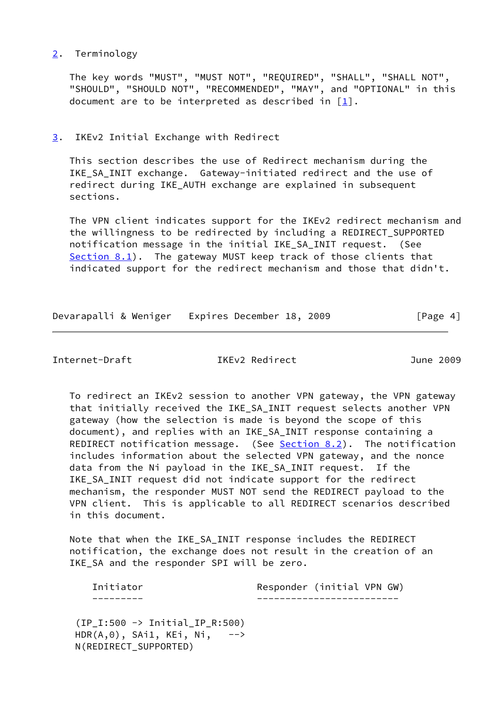## <span id="page-4-0"></span>[2](#page-4-0). Terminology

 The key words "MUST", "MUST NOT", "REQUIRED", "SHALL", "SHALL NOT", "SHOULD", "SHOULD NOT", "RECOMMENDED", "MAY", and "OPTIONAL" in this document are to be interpreted as described in [\[1](#page-16-2)].

## <span id="page-4-1"></span>[3](#page-4-1). IKEv2 Initial Exchange with Redirect

 This section describes the use of Redirect mechanism during the IKE\_SA\_INIT exchange. Gateway-initiated redirect and the use of redirect during IKE\_AUTH exchange are explained in subsequent sections.

 The VPN client indicates support for the IKEv2 redirect mechanism and the willingness to be redirected by including a REDIRECT\_SUPPORTED notification message in the initial IKE\_SA\_INIT request. (See [Section 8.1](#page-10-2)). The gateway MUST keep track of those clients that indicated support for the redirect mechanism and those that didn't.

| Devarapalli & Weniger Expires December 18, 2009 |  |  | [Page 4] |  |
|-------------------------------------------------|--|--|----------|--|
|                                                 |  |  |          |  |

Internet-Draft IKEv2 Redirect June 2009

 To redirect an IKEv2 session to another VPN gateway, the VPN gateway that initially received the IKE\_SA\_INIT request selects another VPN gateway (how the selection is made is beyond the scope of this document), and replies with an IKE\_SA\_INIT response containing a REDIRECT notification message. (See [Section 8.2](#page-11-0)). The notification includes information about the selected VPN gateway, and the nonce data from the Ni payload in the IKE\_SA\_INIT request. If the IKE\_SA\_INIT request did not indicate support for the redirect mechanism, the responder MUST NOT send the REDIRECT payload to the VPN client. This is applicable to all REDIRECT scenarios described in this document.

 Note that when the IKE\_SA\_INIT response includes the REDIRECT notification, the exchange does not result in the creation of an IKE\_SA and the responder SPI will be zero.

| Initiator | Responder (initial VPN GW) |
|-----------|----------------------------|
|           |                            |

 (IP\_I:500 -> Initial\_IP\_R:500)  $HDR(A, 0)$ , SAi1, KEi, Ni,  $--$ N(REDIRECT\_SUPPORTED)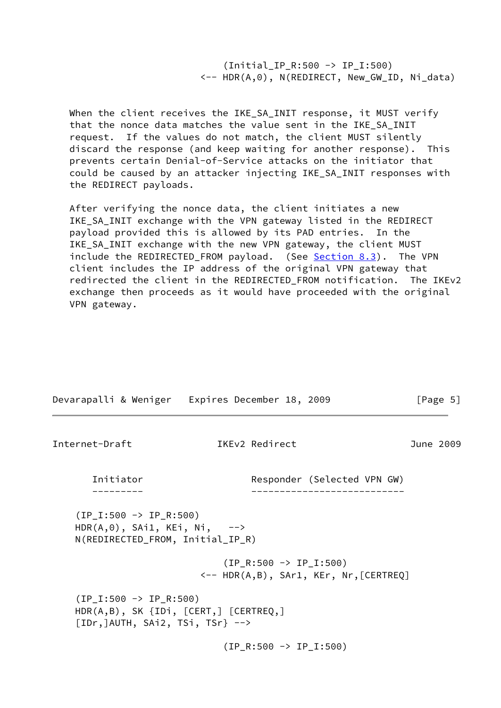(Initial\_IP\_R:500 -> IP\_I:500) <-- HDR(A,0), N(REDIRECT, New\_GW\_ID, Ni\_data)

When the client receives the IKE SA INIT response, it MUST verify that the nonce data matches the value sent in the IKE\_SA\_INIT request. If the values do not match, the client MUST silently discard the response (and keep waiting for another response). This prevents certain Denial-of-Service attacks on the initiator that could be caused by an attacker injecting IKE\_SA\_INIT responses with the REDIRECT payloads.

 After verifying the nonce data, the client initiates a new IKE\_SA\_INIT exchange with the VPN gateway listed in the REDIRECT payload provided this is allowed by its PAD entries. In the IKE SA INIT exchange with the new VPN gateway, the client MUST include the REDIRECTED\_FROM payload. (See [Section 8.3](#page-12-0)). The VPN client includes the IP address of the original VPN gateway that redirected the client in the REDIRECTED FROM notification. The IKEv2 exchange then proceeds as it would have proceeded with the original VPN gateway.

<span id="page-5-0"></span>

| Devarapalli & Weniger Expires December 18, 2009                                                                        |                                                                             |                             |  | [Page 5]  |
|------------------------------------------------------------------------------------------------------------------------|-----------------------------------------------------------------------------|-----------------------------|--|-----------|
| Internet-Draft                                                                                                         | IKEv2 Redirect                                                              |                             |  | June 2009 |
| Initiator                                                                                                              |                                                                             | Responder (Selected VPN GW) |  |           |
| $(IP_I:500 \rightarrow IP_R:500)$<br>$HDR(A, 0)$ , SAi1, KEi, Ni, --><br>N(REDIRECTED_FROM, Initial_IP_R)              |                                                                             |                             |  |           |
|                                                                                                                        | $(IP_R:500 \rightarrow IP_I:500)$<br><-- HDR(A,B), SAr1, KEr, Nr, [CERTREQ] |                             |  |           |
| $(IP_I:500 \rightarrow IP_R:500)$<br>$HDR(A,B)$ , SK ${IDi, [CERT,]} [CERTREQ,]$<br>$[IDr, ]AUTH, SAi2, TSi, TSr}$ --> |                                                                             |                             |  |           |
|                                                                                                                        | $(IP_R:500 \rightarrow IP_I:500)$                                           |                             |  |           |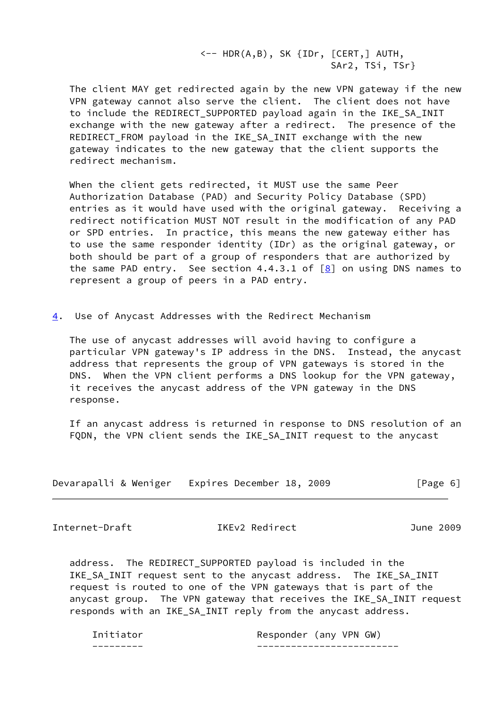$\leftarrow$  HDR(A,B), SK {IDr,  $[CEPT, ]$  AUTH, SAr2, TSi, TSr}

 The client MAY get redirected again by the new VPN gateway if the new VPN gateway cannot also serve the client. The client does not have to include the REDIRECT\_SUPPORTED payload again in the IKE\_SA\_INIT exchange with the new gateway after a redirect. The presence of the REDIRECT\_FROM payload in the IKE\_SA\_INIT exchange with the new gateway indicates to the new gateway that the client supports the redirect mechanism.

 When the client gets redirected, it MUST use the same Peer Authorization Database (PAD) and Security Policy Database (SPD) entries as it would have used with the original gateway. Receiving a redirect notification MUST NOT result in the modification of any PAD or SPD entries. In practice, this means the new gateway either has to use the same responder identity (IDr) as the original gateway, or both should be part of a group of responders that are authorized by the same PAD entry. See section 4.4.3.1 of  $[8]$  $[8]$  on using DNS names to represent a group of peers in a PAD entry.

<span id="page-6-0"></span>[4](#page-6-0). Use of Anycast Addresses with the Redirect Mechanism

 The use of anycast addresses will avoid having to configure a particular VPN gateway's IP address in the DNS. Instead, the anycast address that represents the group of VPN gateways is stored in the DNS. When the VPN client performs a DNS lookup for the VPN gateway, it receives the anycast address of the VPN gateway in the DNS response.

 If an anycast address is returned in response to DNS resolution of an FQDN, the VPN client sends the IKE\_SA\_INIT request to the anycast

| Devarapalli & Weniger | Expires December 18, 2009 | [Page 6] |
|-----------------------|---------------------------|----------|
|-----------------------|---------------------------|----------|

<span id="page-6-1"></span>Internet-Draft IKEv2 Redirect June 2009

 address. The REDIRECT\_SUPPORTED payload is included in the IKE\_SA\_INIT request sent to the anycast address. The IKE\_SA\_INIT request is routed to one of the VPN gateways that is part of the anycast group. The VPN gateway that receives the IKE\_SA\_INIT request responds with an IKE\_SA\_INIT reply from the anycast address.

| ___<br>__ |                                     |
|-----------|-------------------------------------|
| 12tor     | GW.<br><b>VPN</b><br>Responder (anv |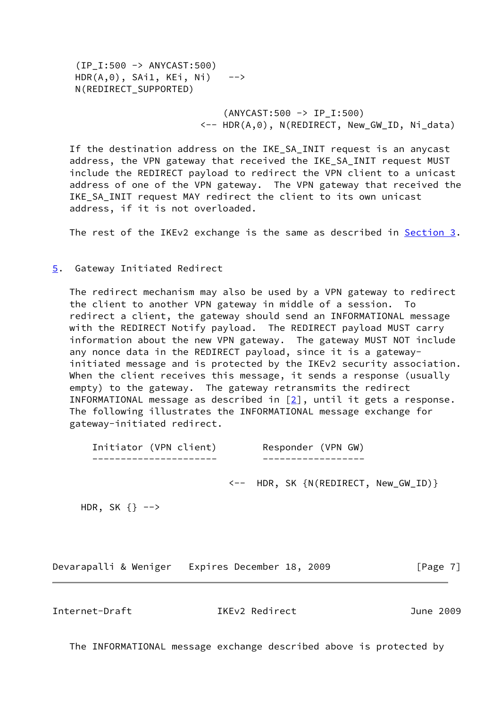(IP\_I:500 -> ANYCAST:500)  $HDR(A, 0)$ ,  $SAi1$ ,  $KEi$ ,  $Ni$ )  $\rightarrow$ N(REDIRECT\_SUPPORTED)

> (ANYCAST:500 -> IP\_I:500) <-- HDR(A,0), N(REDIRECT, New\_GW\_ID, Ni\_data)

 If the destination address on the IKE\_SA\_INIT request is an anycast address, the VPN gateway that received the IKE\_SA\_INIT request MUST include the REDIRECT payload to redirect the VPN client to a unicast address of one of the VPN gateway. The VPN gateway that received the IKE SA INIT request MAY redirect the client to its own unicast address, if it is not overloaded.

The rest of the IKEv2 exchange is the same as described in [Section 3.](#page-4-1)

#### <span id="page-7-0"></span>[5](#page-7-0). Gateway Initiated Redirect

 The redirect mechanism may also be used by a VPN gateway to redirect the client to another VPN gateway in middle of a session. To redirect a client, the gateway should send an INFORMATIONAL message with the REDIRECT Notify payload. The REDIRECT payload MUST carry information about the new VPN gateway. The gateway MUST NOT include any nonce data in the REDIRECT payload, since it is a gateway initiated message and is protected by the IKEv2 security association. When the client receives this message, it sends a response (usually empty) to the gateway. The gateway retransmits the redirect INFORMATIONAL message as described in  $[2]$  $[2]$ , until it gets a response. The following illustrates the INFORMATIONAL message exchange for gateway-initiated redirect.

| Initiator (VPN client) | Responder (VPN GW) |
|------------------------|--------------------|
|                        |                    |
|                        |                    |

<-- HDR, SK {N(REDIRECT, New\_GW\_ID)}

HDR, SK  $\{\}$  -->

Devarapalli & Weniger Expires December 18, 2009 [Page 7]

<span id="page-7-1"></span>Internet-Draft IKEv2 Redirect June 2009

The INFORMATIONAL message exchange described above is protected by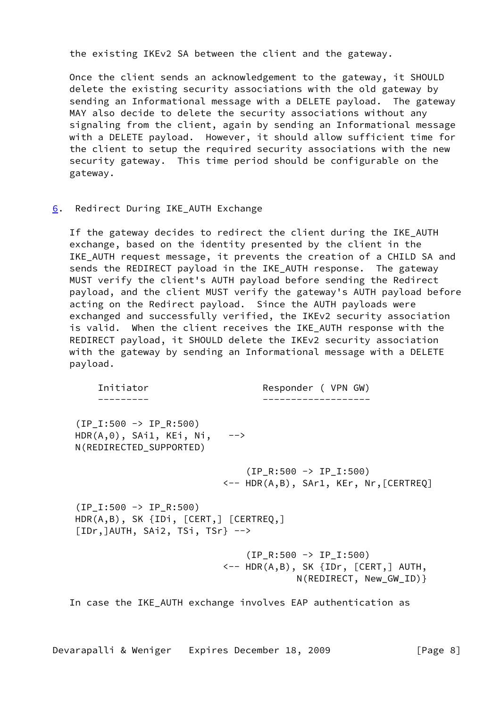the existing IKEv2 SA between the client and the gateway.

 Once the client sends an acknowledgement to the gateway, it SHOULD delete the existing security associations with the old gateway by sending an Informational message with a DELETE payload. The gateway MAY also decide to delete the security associations without any signaling from the client, again by sending an Informational message with a DELETE payload. However, it should allow sufficient time for the client to setup the required security associations with the new security gateway. This time period should be configurable on the gateway.

#### <span id="page-8-0"></span>[6](#page-8-0). Redirect During IKE\_AUTH Exchange

 If the gateway decides to redirect the client during the IKE\_AUTH exchange, based on the identity presented by the client in the IKE\_AUTH request message, it prevents the creation of a CHILD SA and sends the REDIRECT payload in the IKE\_AUTH response. The gateway MUST verify the client's AUTH payload before sending the Redirect payload, and the client MUST verify the gateway's AUTH payload before acting on the Redirect payload. Since the AUTH payloads were exchanged and successfully verified, the IKEv2 security association is valid. When the client receives the IKE\_AUTH response with the REDIRECT payload, it SHOULD delete the IKEv2 security association with the gateway by sending an Informational message with a DELETE payload.

 Initiator Responder ( VPN GW) --------- -------------------  $(IP_1:500 \rightarrow IP_R:500)$  $HDR(A, 0)$ , SAi1, KEi, Ni,  $\rightarrow$  N(REDIRECTED\_SUPPORTED)  $(IP R:500 \rightarrow IP I:500)$  <-- HDR(A,B), SAr1, KEr, Nr,[CERTREQ]  $(IP_I:500 \rightarrow IP_R:500)$  HDR(A,B), SK {IDi, [CERT,] [CERTREQ,] [IDr,]AUTH, SAi2, TSi, TSr} -->  $(IP_R:500 \rightarrow IP_I:500)$  <-- HDR(A,B), SK {IDr, [CERT,] AUTH, N(REDIRECT, New\_GW\_ID)}

In case the IKE\_AUTH exchange involves EAP authentication as

Devarapalli & Weniger Expires December 18, 2009 [Page 8]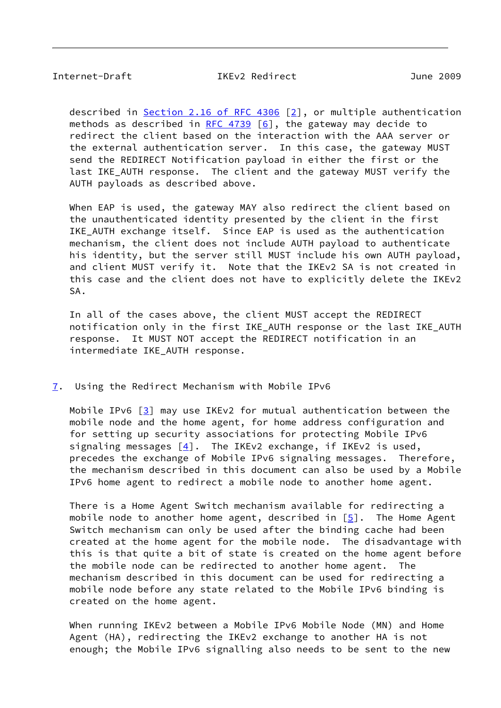<span id="page-9-1"></span>Internet-Draft IKEv2 Redirect June 2009

described in Section [2.16 of RFC 4306](https://datatracker.ietf.org/doc/pdf/rfc4306#section-2.16) [[2\]](#page-16-1), or multiple authentication methods as described in [RFC 4739](https://datatracker.ietf.org/doc/pdf/rfc4739) [\[6\]](#page-16-4), the gateway may decide to redirect the client based on the interaction with the AAA server or the external authentication server. In this case, the gateway MUST send the REDIRECT Notification payload in either the first or the last IKE AUTH response. The client and the gateway MUST verify the AUTH payloads as described above.

When EAP is used, the gateway MAY also redirect the client based on the unauthenticated identity presented by the client in the first IKE\_AUTH exchange itself. Since EAP is used as the authentication mechanism, the client does not include AUTH payload to authenticate his identity, but the server still MUST include his own AUTH payload, and client MUST verify it. Note that the IKEv2 SA is not created in this case and the client does not have to explicitly delete the IKEv2 SA.

 In all of the cases above, the client MUST accept the REDIRECT notification only in the first IKE\_AUTH response or the last IKE\_AUTH response. It MUST NOT accept the REDIRECT notification in an intermediate IKE\_AUTH response.

### <span id="page-9-0"></span>[7](#page-9-0). Using the Redirect Mechanism with Mobile IPv6

 Mobile IPv6 [\[3](#page-16-5)] may use IKEv2 for mutual authentication between the mobile node and the home agent, for home address configuration and for setting up security associations for protecting Mobile IPv6 signaling messages  $[4]$  $[4]$ . The IKEv2 exchange, if IKEv2 is used, precedes the exchange of Mobile IPv6 signaling messages. Therefore, the mechanism described in this document can also be used by a Mobile IPv6 home agent to redirect a mobile node to another home agent.

 There is a Home Agent Switch mechanism available for redirecting a mobile node to another home agent, described in  $[5]$  $[5]$ . The Home Agent Switch mechanism can only be used after the binding cache had been created at the home agent for the mobile node. The disadvantage with this is that quite a bit of state is created on the home agent before the mobile node can be redirected to another home agent. The mechanism described in this document can be used for redirecting a mobile node before any state related to the Mobile IPv6 binding is created on the home agent.

 When running IKEv2 between a Mobile IPv6 Mobile Node (MN) and Home Agent (HA), redirecting the IKEv2 exchange to another HA is not enough; the Mobile IPv6 signalling also needs to be sent to the new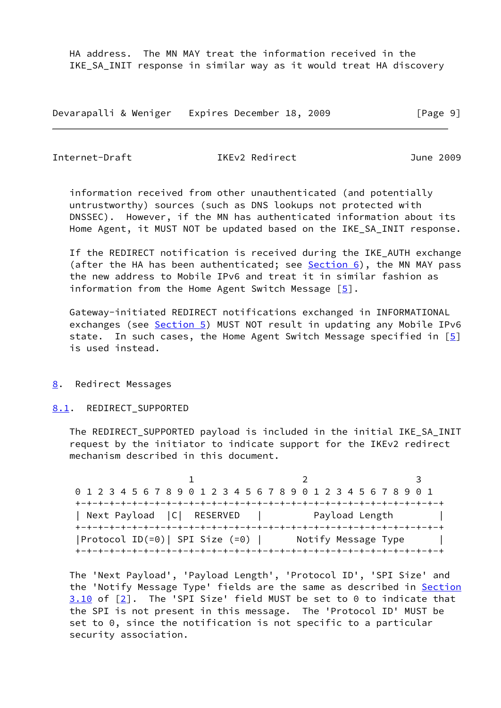HA address. The MN MAY treat the information received in the IKE\_SA\_INIT response in similar way as it would treat HA discovery

Devarapalli & Weniger Expires December 18, 2009 [Page 9]

<span id="page-10-1"></span>Internet-Draft IKEv2 Redirect June 2009

 information received from other unauthenticated (and potentially untrustworthy) sources (such as DNS lookups not protected with DNSSEC). However, if the MN has authenticated information about its Home Agent, it MUST NOT be updated based on the IKE\_SA\_INIT response.

 If the REDIRECT notification is received during the IKE\_AUTH exchange (after the HA has been authenticated; see  $Section 6$ ), the MN MAY pass the new address to Mobile IPv6 and treat it in similar fashion as information from the Home Agent Switch Message  $[5]$  $[5]$ .

 Gateway-initiated REDIRECT notifications exchanged in INFORMATIONAL exchanges (see [Section 5\)](#page-7-0) MUST NOT result in updating any Mobile IPv6 state. In such cases, the Home Agent Switch Message specified in  $[5]$  $[5]$ is used instead.

<span id="page-10-0"></span>[8](#page-10-0). Redirect Messages

<span id="page-10-2"></span>[8.1](#page-10-2). REDIRECT SUPPORTED

The REDIRECT SUPPORTED payload is included in the initial IKE SA INIT request by the initiator to indicate support for the IKEv2 redirect mechanism described in this document.

1 2 3 0 1 2 3 4 5 6 7 8 9 0 1 2 3 4 5 6 7 8 9 0 1 2 3 4 5 6 7 8 9 0 1 +-+-+-+-+-+-+-+-+-+-+-+-+-+-+-+-+-+-+-+-+-+-+-+-+-+-+-+-+-+-+-+-+ | Next Payload | C | RESERVED | Payload Length | +-+-+-+-+-+-+-+-+-+-+-+-+-+-+-+-+-+-+-+-+-+-+-+-+-+-+-+-+-+-+-+-+ |Protocol ID(=0)| SPI Size (=0) | Notify Message Type | +-+-+-+-+-+-+-+-+-+-+-+-+-+-+-+-+-+-+-+-+-+-+-+-+-+-+-+-+-+-+-+-+

 The 'Next Payload', 'Payload Length', 'Protocol ID', 'SPI Size' and the 'Notify Message Type' fields are the same as described in Section 3.10 of [\[2](#page-16-1)]. The 'SPI Size' field MUST be set to 0 to indicate that the SPI is not present in this message. The 'Protocol ID' MUST be set to 0, since the notification is not specific to a particular security association.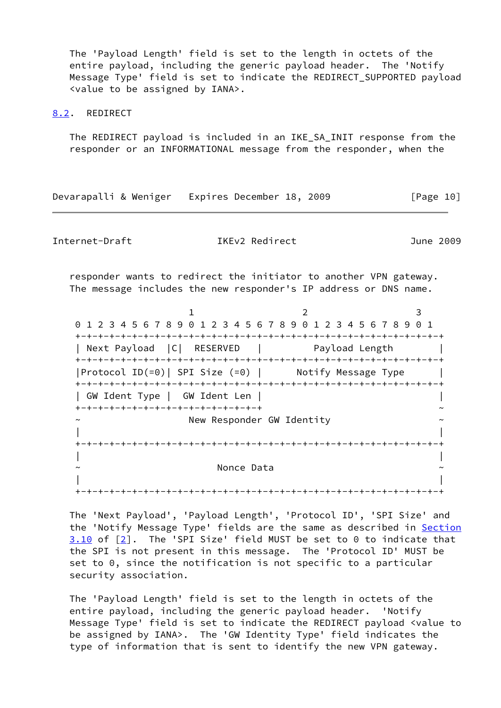The 'Payload Length' field is set to the length in octets of the entire payload, including the generic payload header. The 'Notify Message Type' field is set to indicate the REDIRECT SUPPORTED payload <value to be assigned by IANA>.

#### <span id="page-11-0"></span>[8.2](#page-11-0). REDIRECT

 The REDIRECT payload is included in an IKE\_SA\_INIT response from the responder or an INFORMATIONAL message from the responder, when the

Devarapalli & Weniger Expires December 18, 2009 [Page 10]

Internet-Draft IKEv2 Redirect June 2009

 responder wants to redirect the initiator to another VPN gateway. The message includes the new responder's IP address or DNS name.

1 2 3 0 1 2 3 4 5 6 7 8 9 0 1 2 3 4 5 6 7 8 9 0 1 2 3 4 5 6 7 8 9 0 1 +-+-+-+-+-+-+-+-+-+-+-+-+-+-+-+-+-+-+-+-+-+-+-+-+-+-+-+-+-+-+-+-+ | Next Payload | C | RESERVED | Payload Length +-+-+-+-+-+-+-+-+-+-+-+-+-+-+-+-+-+-+-+-+-+-+-+-+-+-+-+-+-+-+-+-+ |Protocol ID(=0)| SPI Size (=0) | Notify Message Type | +-+-+-+-+-+-+-+-+-+-+-+-+-+-+-+-+-+-+-+-+-+-+-+-+-+-+-+-+-+-+-+-+ | GW Ident Type | GW Ident Len | | +-+-+-+-+-+-+-+-+-+-+-+-+-+-+-+-+ ~ New Responder GW Identity | | +-+-+-+-+-+-+-+-+-+-+-+-+-+-+-+-+-+-+-+-+-+-+-+-+-+-+-+-+-+-+-+-+ | | Nonce Data | | +-+-+-+-+-+-+-+-+-+-+-+-+-+-+-+-+-+-+-+-+-+-+-+-+-+-+-+-+-+-+-+-+

 The 'Next Payload', 'Payload Length', 'Protocol ID', 'SPI Size' and the 'Notify Message Type' fields are the same as described in Section 3.10 of [\[2](#page-16-1)]. The 'SPI Size' field MUST be set to 0 to indicate that the SPI is not present in this message. The 'Protocol ID' MUST be set to 0, since the notification is not specific to a particular security association.

 The 'Payload Length' field is set to the length in octets of the entire payload, including the generic payload header. 'Notify Message Type' field is set to indicate the REDIRECT payload <value to be assigned by IANA>. The 'GW Identity Type' field indicates the type of information that is sent to identify the new VPN gateway.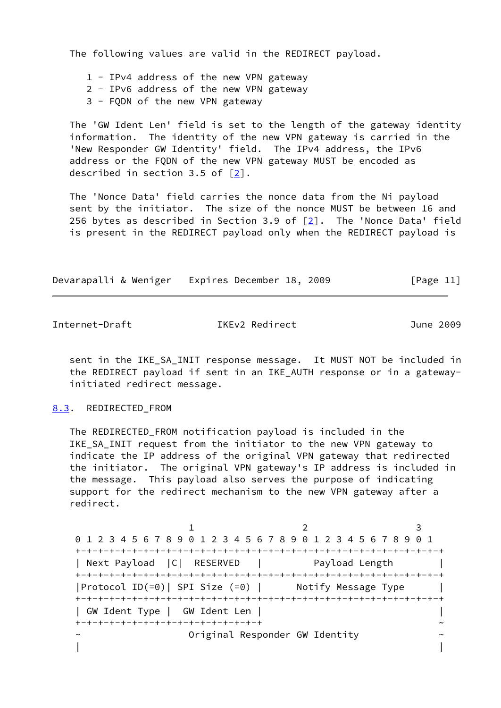The following values are valid in the REDIRECT payload.

1 - IPv4 address of the new VPN gateway

2 - IPv6 address of the new VPN gateway

3 - FQDN of the new VPN gateway

 The 'GW Ident Len' field is set to the length of the gateway identity information. The identity of the new VPN gateway is carried in the 'New Responder GW Identity' field. The IPv4 address, the IPv6 address or the FQDN of the new VPN gateway MUST be encoded as described in section 3.5 of [\[2](#page-16-1)].

 The 'Nonce Data' field carries the nonce data from the Ni payload sent by the initiator. The size of the nonce MUST be between 16 and 256 bytes as described in Section 3.9 of  $[2]$ . The 'Nonce Data' field is present in the REDIRECT payload only when the REDIRECT payload is

|  | Devarapalli & Weniger Expires December 18, 2009 |  | [Page 11] |  |
|--|-------------------------------------------------|--|-----------|--|
|  |                                                 |  |           |  |

<span id="page-12-1"></span>Internet-Draft IKEv2 Redirect June 2009

sent in the IKE SA INIT response message. It MUST NOT be included in the REDIRECT payload if sent in an IKE\_AUTH response or in a gateway initiated redirect message.

#### <span id="page-12-0"></span>[8.3](#page-12-0). REDIRECTED FROM

The REDIRECTED FROM notification payload is included in the IKE\_SA\_INIT request from the initiator to the new VPN gateway to indicate the IP address of the original VPN gateway that redirected the initiator. The original VPN gateway's IP address is included in the message. This payload also serves the purpose of indicating support for the redirect mechanism to the new VPN gateway after a redirect.

1 2 3 0 1 2 3 4 5 6 7 8 9 0 1 2 3 4 5 6 7 8 9 0 1 2 3 4 5 6 7 8 9 0 1 +-+-+-+-+-+-+-+-+-+-+-+-+-+-+-+-+-+-+-+-+-+-+-+-+-+-+-+-+-+-+-+-+ | Next Payload | C | RESERVED | Payload Length | +-+-+-+-+-+-+-+-+-+-+-+-+-+-+-+-+-+-+-+-+-+-+-+-+-+-+-+-+-+-+-+-+ |Protocol ID(=0)| SPI Size (=0) | Notify Message Type | +-+-+-+-+-+-+-+-+-+-+-+-+-+-+-+-+-+-+-+-+-+-+-+-+-+-+-+-+-+-+-+-+ | GW Ident Type | GW Ident Len | | +-+-+-+-+-+-+-+-+-+-+-+-+-+-+-+-+ ~ ~ Original Responder GW Identity ~ | |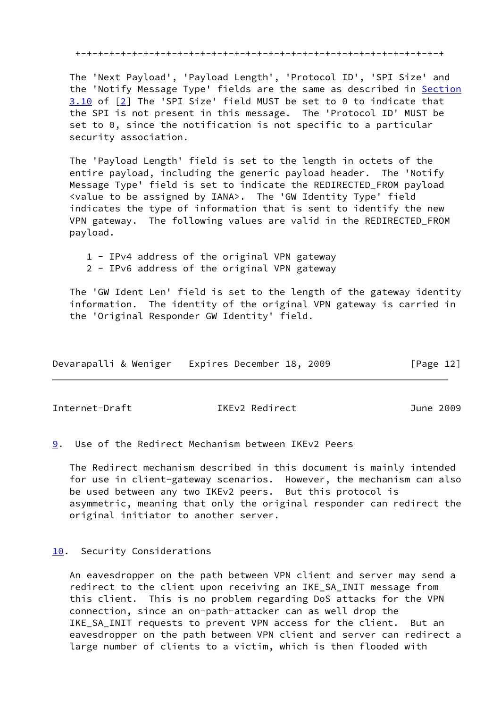+-+-+-+-+-+-+-+-+-+-+-+-+-+-+-+-+-+-+-+-+-+-+-+-+-+-+-+-+-+-+-+-+

 The 'Next Payload', 'Payload Length', 'Protocol ID', 'SPI Size' and the 'Notify Message Type' fields are the same as described in Section 3.10 of [\[2](#page-16-1)] The 'SPI Size' field MUST be set to 0 to indicate that the SPI is not present in this message. The 'Protocol ID' MUST be set to 0, since the notification is not specific to a particular security association.

 The 'Payload Length' field is set to the length in octets of the entire payload, including the generic payload header. The 'Notify Message Type' field is set to indicate the REDIRECTED\_FROM payload <value to be assigned by IANA>. The 'GW Identity Type' field indicates the type of information that is sent to identify the new VPN gateway. The following values are valid in the REDIRECTED\_FROM payload.

 1 - IPv4 address of the original VPN gateway 2 - IPv6 address of the original VPN gateway

 The 'GW Ident Len' field is set to the length of the gateway identity information. The identity of the original VPN gateway is carried in the 'Original Responder GW Identity' field.

| Devarapalli & Weniger |  | Expires December 18, 2009 |  | [Page 12] |  |
|-----------------------|--|---------------------------|--|-----------|--|
|                       |  |                           |  |           |  |

<span id="page-13-1"></span>Internet-Draft IKEv2 Redirect June 2009

<span id="page-13-0"></span>[9](#page-13-0). Use of the Redirect Mechanism between IKEv2 Peers

 The Redirect mechanism described in this document is mainly intended for use in client-gateway scenarios. However, the mechanism can also be used between any two IKEv2 peers. But this protocol is asymmetric, meaning that only the original responder can redirect the original initiator to another server.

### <span id="page-13-2"></span>[10.](#page-13-2) Security Considerations

 An eavesdropper on the path between VPN client and server may send a redirect to the client upon receiving an IKE\_SA\_INIT message from this client. This is no problem regarding DoS attacks for the VPN connection, since an on-path-attacker can as well drop the IKE\_SA\_INIT requests to prevent VPN access for the client. But an eavesdropper on the path between VPN client and server can redirect a large number of clients to a victim, which is then flooded with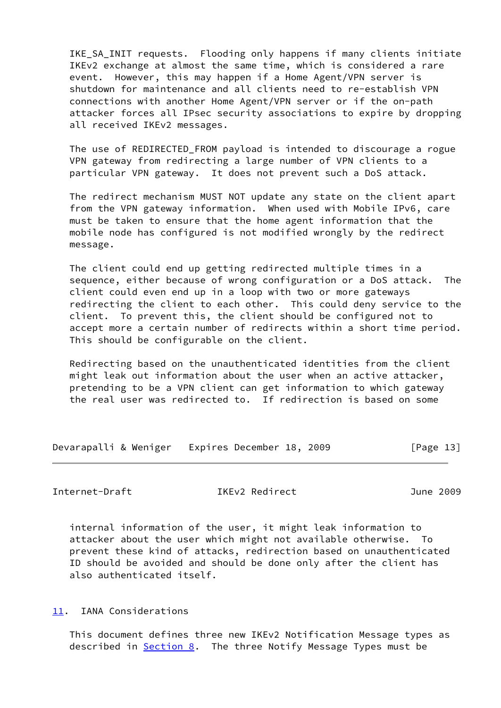IKE\_SA\_INIT requests. Flooding only happens if many clients initiate IKEv2 exchange at almost the same time, which is considered a rare event. However, this may happen if a Home Agent/VPN server is shutdown for maintenance and all clients need to re-establish VPN connections with another Home Agent/VPN server or if the on-path attacker forces all IPsec security associations to expire by dropping all received IKEv2 messages.

 The use of REDIRECTED\_FROM payload is intended to discourage a rogue VPN gateway from redirecting a large number of VPN clients to a particular VPN gateway. It does not prevent such a DoS attack.

 The redirect mechanism MUST NOT update any state on the client apart from the VPN gateway information. When used with Mobile IPv6, care must be taken to ensure that the home agent information that the mobile node has configured is not modified wrongly by the redirect message.

 The client could end up getting redirected multiple times in a sequence, either because of wrong configuration or a DoS attack. The client could even end up in a loop with two or more gateways redirecting the client to each other. This could deny service to the client. To prevent this, the client should be configured not to accept more a certain number of redirects within a short time period. This should be configurable on the client.

 Redirecting based on the unauthenticated identities from the client might leak out information about the user when an active attacker, pretending to be a VPN client can get information to which gateway the real user was redirected to. If redirection is based on some

Devarapalli & Weniger Expires December 18, 2009 [Page 13]

<span id="page-14-1"></span>Internet-Draft IKEv2 Redirect June 2009

 internal information of the user, it might leak information to attacker about the user which might not available otherwise. To prevent these kind of attacks, redirection based on unauthenticated ID should be avoided and should be done only after the client has also authenticated itself.

<span id="page-14-0"></span>[11.](#page-14-0) IANA Considerations

 This document defines three new IKEv2 Notification Message types as described in [Section 8](#page-10-0). The three Notify Message Types must be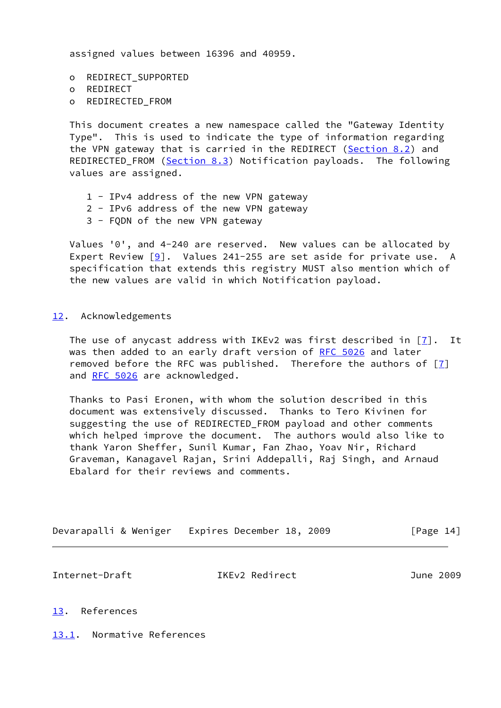assigned values between 16396 and 40959.

 o REDIRECT\_SUPPORTED o REDIRECT o REDIRECTED\_FROM

 This document creates a new namespace called the "Gateway Identity Type". This is used to indicate the type of information regarding the VPN gateway that is carried in the REDIRECT [\(Section 8.2](#page-11-0)) and REDIRECTED\_FROM [\(Section 8.3](#page-12-0)) Notification payloads. The following values are assigned.

- 1 IPv4 address of the new VPN gateway
- 2 IPv6 address of the new VPN gateway
- 3 FQDN of the new VPN gateway

 Values '0', and 4-240 are reserved. New values can be allocated by Expert Review  $[9]$  $[9]$ . Values 241-255 are set aside for private use. A specification that extends this registry MUST also mention which of the new values are valid in which Notification payload.

#### <span id="page-15-0"></span>[12.](#page-15-0) Acknowledgements

The use of anycast address with IKEv2 was first described in  $[7]$ . It was then added to an early draft version of [RFC 5026](https://datatracker.ietf.org/doc/pdf/rfc5026) and later removed before the RFC was published. Therefore the authors of  $[7]$  $[7]$ and [RFC 5026](https://datatracker.ietf.org/doc/pdf/rfc5026) are acknowledged.

 Thanks to Pasi Eronen, with whom the solution described in this document was extensively discussed. Thanks to Tero Kivinen for suggesting the use of REDIRECTED\_FROM payload and other comments which helped improve the document. The authors would also like to thank Yaron Sheffer, Sunil Kumar, Fan Zhao, Yoav Nir, Richard Graveman, Kanagavel Rajan, Srini Addepalli, Raj Singh, and Arnaud Ebalard for their reviews and comments.

Devarapalli & Weniger Expires December 18, 2009 [Page 14]

<span id="page-15-2"></span>Internet-Draft IKEv2 Redirect June 2009

#### <span id="page-15-1"></span>[13.](#page-15-1) References

<span id="page-15-3"></span>[13.1](#page-15-3). Normative References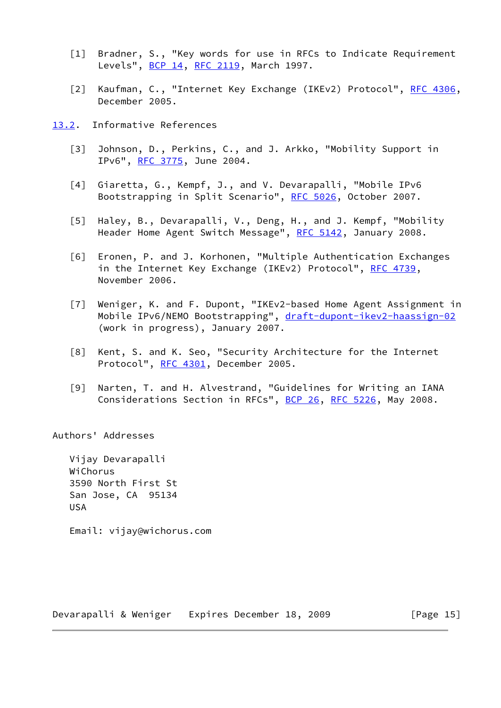- <span id="page-16-2"></span>[1] Bradner, S., "Key words for use in RFCs to Indicate Requirement Levels", [BCP 14](https://datatracker.ietf.org/doc/pdf/bcp14), [RFC 2119](https://datatracker.ietf.org/doc/pdf/rfc2119), March 1997.
- <span id="page-16-1"></span>[2] Kaufman, C., "Internet Key Exchange (IKEv2) Protocol", [RFC 4306,](https://datatracker.ietf.org/doc/pdf/rfc4306) December 2005.
- <span id="page-16-7"></span><span id="page-16-6"></span><span id="page-16-5"></span><span id="page-16-4"></span><span id="page-16-0"></span>[13.2](#page-16-0). Informative References
	- [3] Johnson, D., Perkins, C., and J. Arkko, "Mobility Support in IPv6", [RFC 3775,](https://datatracker.ietf.org/doc/pdf/rfc3775) June 2004.
	- [4] Giaretta, G., Kempf, J., and V. Devarapalli, "Mobile IPv6 Bootstrapping in Split Scenario", [RFC 5026,](https://datatracker.ietf.org/doc/pdf/rfc5026) October 2007.
	- [5] Haley, B., Devarapalli, V., Deng, H., and J. Kempf, "Mobility Header Home Agent Switch Message", [RFC 5142](https://datatracker.ietf.org/doc/pdf/rfc5142), January 2008.
	- [6] Eronen, P. and J. Korhonen, "Multiple Authentication Exchanges in the Internet Key Exchange (IKEv2) Protocol", [RFC 4739](https://datatracker.ietf.org/doc/pdf/rfc4739), November 2006.
	- [7] Weniger, K. and F. Dupont, "IKEv2-based Home Agent Assignment in Mobile IPv6/NEMO Bootstrapping", [draft-dupont-ikev2-haassign-02](https://datatracker.ietf.org/doc/pdf/draft-dupont-ikev2-haassign-02) (work in progress), January 2007.
	- [8] Kent, S. and K. Seo, "Security Architecture for the Internet Protocol", [RFC 4301](https://datatracker.ietf.org/doc/pdf/rfc4301), December 2005.
	- [9] Narten, T. and H. Alvestrand, "Guidelines for Writing an IANA Considerations Section in RFCs", [BCP 26](https://datatracker.ietf.org/doc/pdf/bcp26), [RFC 5226](https://datatracker.ietf.org/doc/pdf/rfc5226), May 2008.

<span id="page-16-9"></span><span id="page-16-8"></span><span id="page-16-3"></span>Authors' Addresses

 Vijay Devarapalli WiChorus 3590 North First St San Jose, CA 95134 USA

Email: vijay@wichorus.com

Devarapalli & Weniger Expires December 18, 2009 [Page 15]